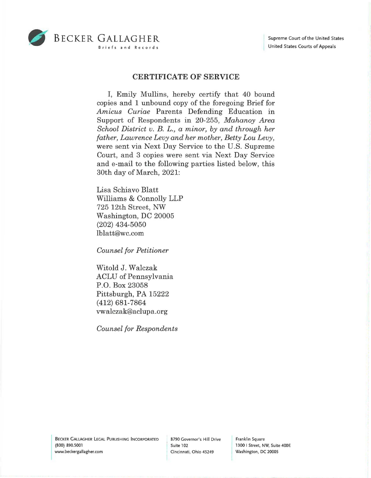

## **CERTIFICATE OF SERVICE**

I, Emily Mullins, hereby certify that 40 bound copies and **1** unbound copy of the foregoing Brief for *Amicus Curiae* Parents Defending Education in Support of Respondents in 20-255, *Mahanoy Area School District v. B. L., a minor, by and through her father, Lawrence Levy and her mother, Betty Lou Levy,*  were sent via Next Day Service to the U.S. Supreme Court, and 3 copies were sent via Next Day Service and e-mail to the following parties listed below, this 30th day of March, 2021:

Lisa Schiavo Blatt Williams & Connolly LLP 725 12th Street, NW Washington, DC 20005 (202) 434-5050 lblatt@wc.com

*Counsel for Petitioner* 

Witold J. Walczak ACLU of Pennsylvania P.O. Box 23058 Pittsburgh, PA 15222 (412) 681-7864 vwalczak@aclupa.org

*Counsel for Respondents* 

Franklin Square 1300 I Street, NW, Suite 400E Washington, DC 20005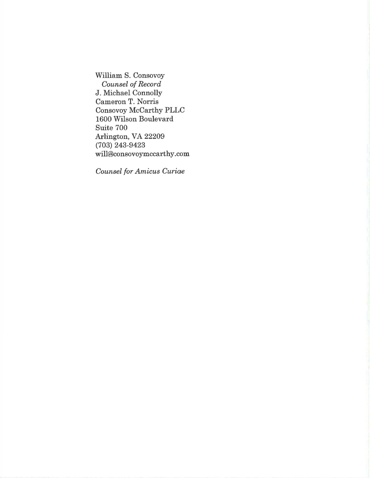William S. Consovoy *Counsel of Record*  J. Michael Connolly Cameron T. Norris Consovoy McCarthy PLLC 1600 Wilson Boulevard Suite 700 Arlington, VA 22209 (703) 243-9423 will@consovoymccarthy.com

*Counsel for Amicus Curiae*